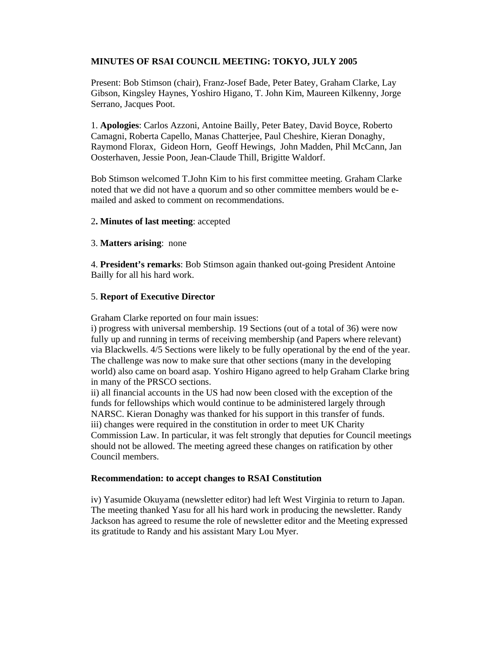# **MINUTES OF RSAI COUNCIL MEETING: TOKYO, JULY 2005**

Present: Bob Stimson (chair), Franz-Josef Bade, Peter Batey, Graham Clarke, Lay Gibson, Kingsley Haynes, Yoshiro Higano, T. John Kim, Maureen Kilkenny, Jorge Serrano, Jacques Poot.

1. **Apologies**: Carlos Azzoni, Antoine Bailly, Peter Batey, David Boyce, Roberto Camagni, Roberta Capello, Manas Chatterjee, Paul Cheshire, Kieran Donaghy, Raymond Florax, Gideon Horn, Geoff Hewings, John Madden, Phil McCann, Jan Oosterhaven, Jessie Poon, Jean-Claude Thill, Brigitte Waldorf.

Bob Stimson welcomed T.John Kim to his first committee meeting. Graham Clarke noted that we did not have a quorum and so other committee members would be emailed and asked to comment on recommendations.

## 2**. Minutes of last meeting**: accepted

#### 3. **Matters arising**: none

4. **President's remarks**: Bob Stimson again thanked out-going President Antoine Bailly for all his hard work.

#### 5. **Report of Executive Director**

Graham Clarke reported on four main issues:

i) progress with universal membership. 19 Sections (out of a total of 36) were now fully up and running in terms of receiving membership (and Papers where relevant) via Blackwells. 4/5 Sections were likely to be fully operational by the end of the year. The challenge was now to make sure that other sections (many in the developing world) also came on board asap. Yoshiro Higano agreed to help Graham Clarke bring in many of the PRSCO sections.

ii) all financial accounts in the US had now been closed with the exception of the funds for fellowships which would continue to be administered largely through NARSC. Kieran Donaghy was thanked for his support in this transfer of funds. iii) changes were required in the constitution in order to meet UK Charity Commission Law. In particular, it was felt strongly that deputies for Council meetings should not be allowed. The meeting agreed these changes on ratification by other Council members.

#### **Recommendation: to accept changes to RSAI Constitution**

iv) Yasumide Okuyama (newsletter editor) had left West Virginia to return to Japan. The meeting thanked Yasu for all his hard work in producing the newsletter. Randy Jackson has agreed to resume the role of newsletter editor and the Meeting expressed its gratitude to Randy and his assistant Mary Lou Myer.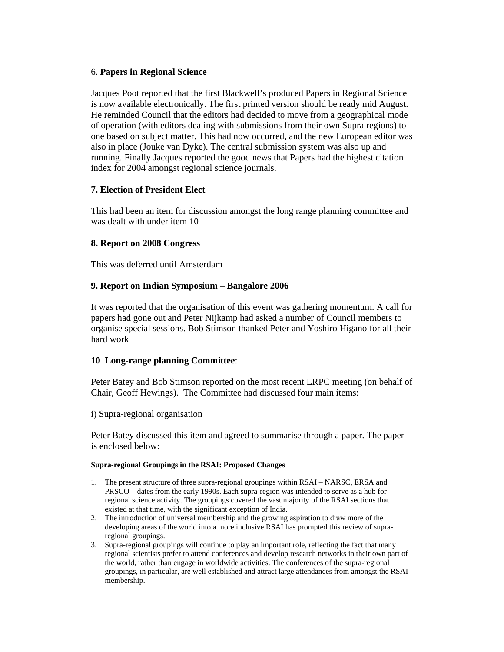## 6. **Papers in Regional Science**

Jacques Poot reported that the first Blackwell's produced Papers in Regional Science is now available electronically. The first printed version should be ready mid August. He reminded Council that the editors had decided to move from a geographical mode of operation (with editors dealing with submissions from their own Supra regions) to one based on subject matter. This had now occurred, and the new European editor was also in place (Jouke van Dyke). The central submission system was also up and running. Finally Jacques reported the good news that Papers had the highest citation index for 2004 amongst regional science journals.

## **7. Election of President Elect**

This had been an item for discussion amongst the long range planning committee and was dealt with under item 10

## **8. Report on 2008 Congress**

This was deferred until Amsterdam

## **9. Report on Indian Symposium – Bangalore 2006**

It was reported that the organisation of this event was gathering momentum. A call for papers had gone out and Peter Nijkamp had asked a number of Council members to organise special sessions. Bob Stimson thanked Peter and Yoshiro Higano for all their hard work

## **10 Long-range planning Committee**:

Peter Batey and Bob Stimson reported on the most recent LRPC meeting (on behalf of Chair, Geoff Hewings). The Committee had discussed four main items:

## i) Supra-regional organisation

Peter Batey discussed this item and agreed to summarise through a paper. The paper is enclosed below:

#### **Supra-regional Groupings in the RSAI: Proposed Changes**

- 1. The present structure of three supra-regional groupings within RSAI NARSC, ERSA and PRSCO – dates from the early 1990s. Each supra-region was intended to serve as a hub for regional science activity. The groupings covered the vast majority of the RSAI sections that existed at that time, with the significant exception of India.
- 2. The introduction of universal membership and the growing aspiration to draw more of the developing areas of the world into a more inclusive RSAI has prompted this review of supraregional groupings.
- 3. Supra-regional groupings will continue to play an important role, reflecting the fact that many regional scientists prefer to attend conferences and develop research networks in their own part of the world, rather than engage in worldwide activities. The conferences of the supra-regional groupings, in particular, are well established and attract large attendances from amongst the RSAI membership.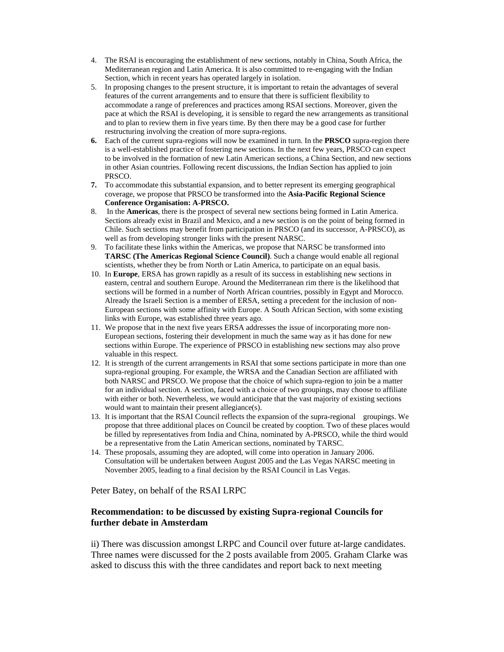- 4. The RSAI is encouraging the establishment of new sections, notably in China, South Africa, the Mediterranean region and Latin America. It is also committed to re-engaging with the Indian Section, which in recent years has operated largely in isolation.
- 5. In proposing changes to the present structure, it is important to retain the advantages of several features of the current arrangements and to ensure that there is sufficient flexibility to accommodate a range of preferences and practices among RSAI sections. Moreover, given the pace at which the RSAI is developing, it is sensible to regard the new arrangements as transitional and to plan to review them in five years time. By then there may be a good case for further restructuring involving the creation of more supra-regions.
- **6.** Each of the current supra-regions will now be examined in turn. In the **PRSCO** supra-region there is a well-established practice of fostering new sections. In the next few years, PRSCO can expect to be involved in the formation of new Latin American sections, a China Section, and new sections in other Asian countries. Following recent discussions, the Indian Section has applied to join PRSCO.
- **7.** To accommodate this substantial expansion, and to better represent its emerging geographical coverage, we propose that PRSCO be transformed into the **Asia-Pacific Regional Science Conference Organisation: A-PRSCO.**
- 8. In the **Americas**, there is the prospect of several new sections being formed in Latin America. Sections already exist in Brazil and Mexico, and a new section is on the point of being formed in Chile. Such sections may benefit from participation in PRSCO (and its successor, A-PRSCO), as well as from developing stronger links with the present NARSC.
- 9. To facilitate these links within the Americas, we propose that NARSC be transformed into **TARSC (The Americas Regional Science Council)**. Such a change would enable all regional scientists, whether they be from North or Latin America, to participate on an equal basis.
- 10. In **Europe**, ERSA has grown rapidly as a result of its success in establishing new sections in eastern, central and southern Europe. Around the Mediterranean rim there is the likelihood that sections will be formed in a number of North African countries, possibly in Egypt and Morocco. Already the Israeli Section is a member of ERSA, setting a precedent for the inclusion of non-European sections with some affinity with Europe. A South African Section, with some existing links with Europe, was established three years ago.
- 11. We propose that in the next five years ERSA addresses the issue of incorporating more non-European sections, fostering their development in much the same way as it has done for new sections within Europe. The experience of PRSCO in establishing new sections may also prove valuable in this respect.
- 12. It is strength of the current arrangements in RSAI that some sections participate in more than one supra-regional grouping. For example, the WRSA and the Canadian Section are affiliated with both NARSC and PRSCO. We propose that the choice of which supra-region to join be a matter for an individual section. A section, faced with a choice of two groupings, may choose to affiliate with either or both. Nevertheless, we would anticipate that the vast majority of existing sections would want to maintain their present allegiance(s).
- 13. It is important that the RSAI Council reflects the expansion of the supra-regional groupings. We propose that three additional places on Council be created by cooption. Two of these places would be filled by representatives from India and China, nominated by A-PRSCO, while the third would be a representative from the Latin American sections, nominated by TARSC.
- 14. These proposals, assuming they are adopted, will come into operation in January 2006. Consultation will be undertaken between August 2005 and the Las Vegas NARSC meeting in November 2005, leading to a final decision by the RSAI Council in Las Vegas.

Peter Batey, on behalf of the RSAI LRPC

## **Recommendation: to be discussed by existing Supra-regional Councils for further debate in Amsterdam**

ii) There was discussion amongst LRPC and Council over future at-large candidates. Three names were discussed for the 2 posts available from 2005. Graham Clarke was asked to discuss this with the three candidates and report back to next meeting